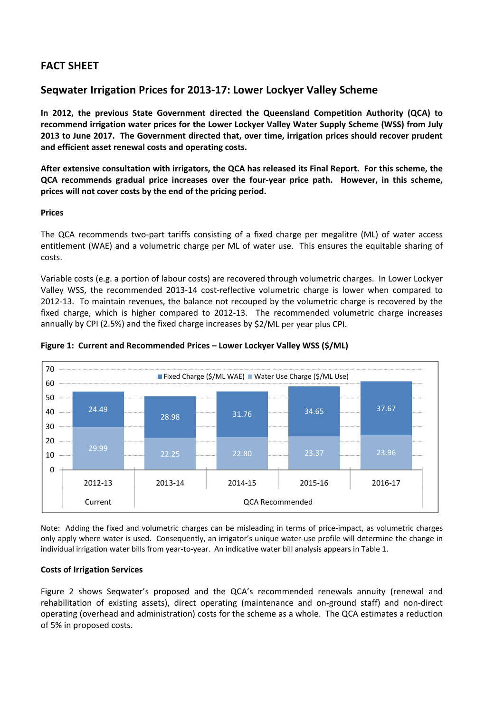# **FACT SHEET**

# **Seqwater Irrigation Prices for 2013‐17: Lower Lockyer Valley Scheme**

**In 2012, the previous State Government directed the Queensland Competition Authority (QCA) to recommend irrigation water prices for the Lower Lockyer Valley Water Supply Scheme (WSS) from July 2013 to June 2017. The Government directed that, over time, irrigation prices should recover prudent and efficient asset renewal costs and operating costs.** 

After extensive consultation with irrigators, the QCA has released its Final Report. For this scheme, the **QCA recommends gradual price increases over the four‐year price path. However, in this scheme, prices will not cover costs by the end of the pricing period.**

## **Prices**

The QCA recommends two-part tariffs consisting of a fixed charge per megalitre (ML) of water access entitlement (WAE) and a volumetric charge per ML of water use. This ensures the equitable sharing of costs.

Variable costs (e.g. a portion of labour costs) are recovered through volumetric charges. In Lower Lockyer Valley WSS, the recommended 2013‐14 cost‐reflective volumetric charge is lower when compared to 2012‐13. To maintain revenues, the balance not recouped by the volumetric charge is recovered by the fixed charge, which is higher compared to 2012-13. The recommended volumetric charge increases annually by CPI (2.5%) and the fixed charge increases by \$2/ML per year plus CPI.



### **Figure 1: Current and Recommended Prices – Lower Lockyer Valley WSS (\$/ML)**

Note: Adding the fixed and volumetric charges can be misleading in terms of price‐impact, as volumetric charges only apply where water is used. Consequently, an irrigator's unique water‐use profile will determine the change in individual irrigation water bills from year-to-year. An indicative water bill analysis appears in Table 1.

# **Costs of Irrigation Services**

Figure 2 shows Seqwater's proposed and the QCA's recommended renewals annuity (renewal and rehabilitation of existing assets), direct operating (maintenance and on‐ground staff) and non‐direct operating (overhead and administration) costs for the scheme as a whole. The QCA estimates a reduction of 5% in proposed costs.